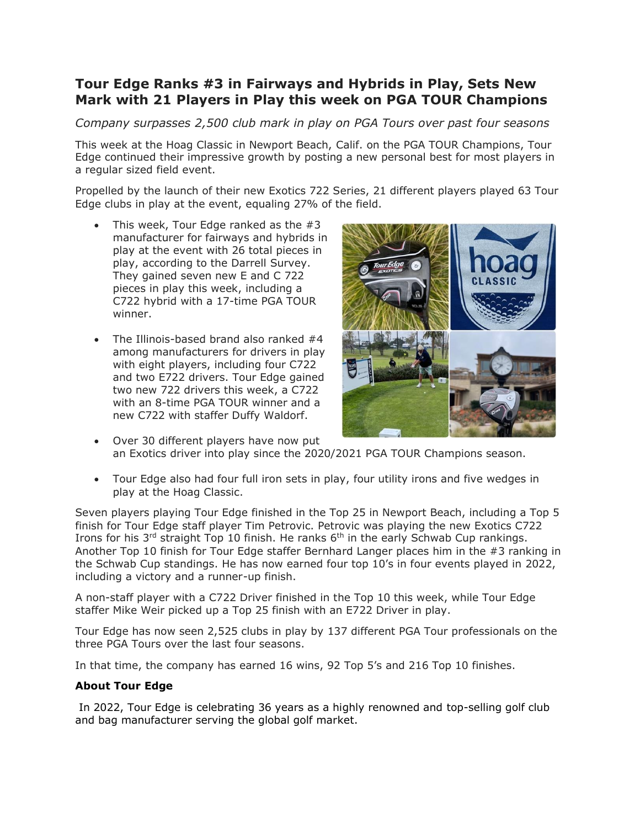## **Tour Edge Ranks #3 in Fairways and Hybrids in Play, Sets New Mark with 21 Players in Play this week on PGA TOUR Champions**

*Company surpasses 2,500 club mark in play on PGA Tours over past four seasons*

This week at the Hoag Classic in Newport Beach, Calif. on the PGA TOUR Champions, Tour Edge continued their impressive growth by posting a new personal best for most players in a regular sized field event.

Propelled by the launch of their new Exotics 722 Series, 21 different players played 63 Tour Edge clubs in play at the event, equaling 27% of the field.

- This week, Tour Edge ranked as the  $#3$ manufacturer for fairways and hybrids in play at the event with 26 total pieces in play, according to the Darrell Survey. They gained seven new E and C 722 pieces in play this week, including a C722 hybrid with a 17-time PGA TOUR winner.
- The Illinois-based brand also ranked #4 among manufacturers for drivers in play with eight players, including four C722 and two E722 drivers. Tour Edge gained two new 722 drivers this week, a C722 with an 8-time PGA TOUR winner and a new C722 with staffer Duffy Waldorf.



- Over 30 different players have now put an Exotics driver into play since the 2020/2021 PGA TOUR Champions season.
- Tour Edge also had four full iron sets in play, four utility irons and five wedges in play at the Hoag Classic.

Seven players playing Tour Edge finished in the Top 25 in Newport Beach, including a Top 5 finish for Tour Edge staff player Tim Petrovic. Petrovic was playing the new Exotics C722 Irons for his 3<sup>rd</sup> straight Top 10 finish. He ranks 6<sup>th</sup> in the early Schwab Cup rankings. Another Top 10 finish for Tour Edge staffer Bernhard Langer places him in the #3 ranking in the Schwab Cup standings. He has now earned four top 10's in four events played in 2022, including a victory and a runner-up finish.

A non-staff player with a C722 Driver finished in the Top 10 this week, while Tour Edge staffer Mike Weir picked up a Top 25 finish with an E722 Driver in play.

Tour Edge has now seen 2,525 clubs in play by 137 different PGA Tour professionals on the three PGA Tours over the last four seasons.

In that time, the company has earned 16 wins, 92 Top 5's and 216 Top 10 finishes.

## **About Tour Edge**

In 2022, Tour Edge is celebrating 36 years as a highly renowned and top-selling golf club and bag manufacturer serving the global golf market.